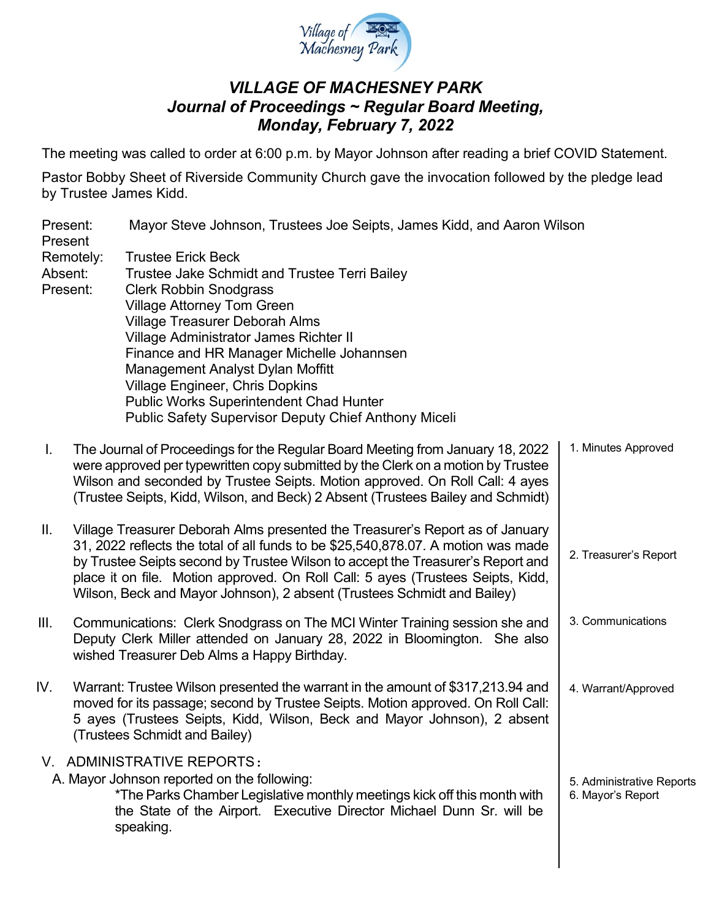

## *VILLAGE OF MACHESNEY PARK Journal of Proceedings ~ Regular Board Meeting, Monday, February 7, 2022*

The meeting was called to order at 6:00 p.m. by Mayor Johnson after reading a brief COVID Statement.

Pastor Bobby Sheet of Riverside Community Church gave the invocation followed by the pledge lead by Trustee James Kidd.

| Present:<br>Present |           | Mayor Steve Johnson, Trustees Joe Seipts, James Kidd, and Aaron Wilson                                                                                                                                                                                                                                                                                                                                                                                                          |                       |  |
|---------------------|-----------|---------------------------------------------------------------------------------------------------------------------------------------------------------------------------------------------------------------------------------------------------------------------------------------------------------------------------------------------------------------------------------------------------------------------------------------------------------------------------------|-----------------------|--|
| Absent:<br>Present: | Remotely: | <b>Trustee Erick Beck</b><br>Trustee Jake Schmidt and Trustee Terri Bailey<br><b>Clerk Robbin Snodgrass</b><br><b>Village Attorney Tom Green</b><br><b>Village Treasurer Deborah Alms</b><br>Village Administrator James Richter II<br>Finance and HR Manager Michelle Johannsen<br>Management Analyst Dylan Moffitt<br><b>Village Engineer, Chris Dopkins</b><br><b>Public Works Superintendent Chad Hunter</b><br><b>Public Safety Supervisor Deputy Chief Anthony Miceli</b> |                       |  |
| L.                  |           | The Journal of Proceedings for the Regular Board Meeting from January 18, 2022<br>were approved per typewritten copy submitted by the Clerk on a motion by Trustee<br>Wilson and seconded by Trustee Seipts. Motion approved. On Roll Call: 4 ayes<br>(Trustee Seipts, Kidd, Wilson, and Beck) 2 Absent (Trustees Bailey and Schmidt)                                                                                                                                           | 1. Minutes Approved   |  |
| Ш.                  |           | Village Treasurer Deborah Alms presented the Treasurer's Report as of January<br>31, 2022 reflects the total of all funds to be \$25,540,878.07. A motion was made<br>by Trustee Seipts second by Trustee Wilson to accept the Treasurer's Report and<br>place it on file. Motion approved. On Roll Call: 5 ayes (Trustees Seipts, Kidd,<br>Wilson, Beck and Mayor Johnson), 2 absent (Trustees Schmidt and Bailey)                                                             | 2. Treasurer's Report |  |
| Ш.                  |           | Communications: Clerk Snodgrass on The MCI Winter Training session she and<br>Deputy Clerk Miller attended on January 28, 2022 in Bloomington. She also<br>wished Treasurer Deb Alms a Happy Birthday.                                                                                                                                                                                                                                                                          | 3. Communications     |  |

IV. Warrant: Trustee Wilson presented the warrant in the amount of \$317,213.94 and moved for its passage; second by Trustee Seipts. Motion approved. On Roll Call: 5 ayes (Trustees Seipts, Kidd, Wilson, Beck and Mayor Johnson), 2 absent (Trustees Schmidt and Bailey) V. ADMINISTRATIVE REPORTS: 4. Warrant/Approved

A. Mayor Johnson reported on the following:

speaking.

\*The Parks Chamber Legislative monthly meetings kick off this month with the State of the Airport. Executive Director Michael Dunn Sr. will be 5. Administrative Reports 6. Mayor's Report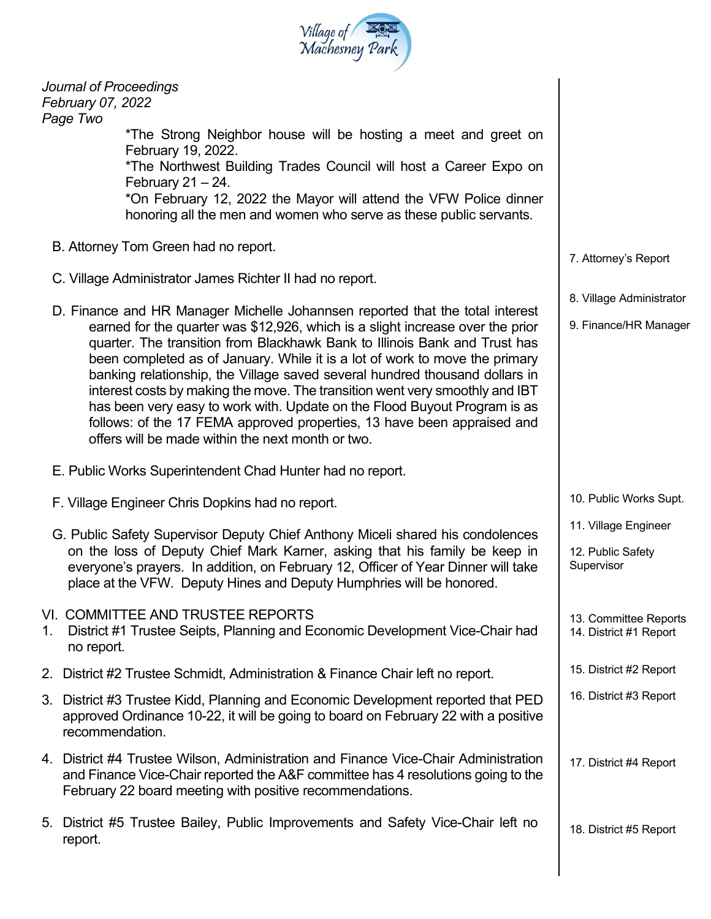| Village of Park<br>Machesney Park |
|-----------------------------------|
|                                   |

| Journal of Proceedings<br>February 07, 2022<br>Page Two                                          |                                                                                                                                                                                                                                                                                                                                                                                                                                                                                                                                                                                                                                                                                                          |                                                         |  |
|--------------------------------------------------------------------------------------------------|----------------------------------------------------------------------------------------------------------------------------------------------------------------------------------------------------------------------------------------------------------------------------------------------------------------------------------------------------------------------------------------------------------------------------------------------------------------------------------------------------------------------------------------------------------------------------------------------------------------------------------------------------------------------------------------------------------|---------------------------------------------------------|--|
|                                                                                                  | *The Strong Neighbor house will be hosting a meet and greet on<br>February 19, 2022.<br>*The Northwest Building Trades Council will host a Career Expo on<br>February $21 - 24$ .<br>*On February 12, 2022 the Mayor will attend the VFW Police dinner<br>honoring all the men and women who serve as these public servants.                                                                                                                                                                                                                                                                                                                                                                             |                                                         |  |
| B. Attorney Tom Green had no report.<br>C. Village Administrator James Richter II had no report. | 7. Attorney's Report<br>8. Village Administrator                                                                                                                                                                                                                                                                                                                                                                                                                                                                                                                                                                                                                                                         |                                                         |  |
|                                                                                                  | D. Finance and HR Manager Michelle Johannsen reported that the total interest<br>earned for the quarter was \$12,926, which is a slight increase over the prior<br>quarter. The transition from Blackhawk Bank to Illinois Bank and Trust has<br>been completed as of January. While it is a lot of work to move the primary<br>banking relationship, the Village saved several hundred thousand dollars in<br>interest costs by making the move. The transition went very smoothly and IBT<br>has been very easy to work with. Update on the Flood Buyout Program is as<br>follows: of the 17 FEMA approved properties, 13 have been appraised and<br>offers will be made within the next month or two. | 9. Finance/HR Manager                                   |  |
|                                                                                                  | E. Public Works Superintendent Chad Hunter had no report.                                                                                                                                                                                                                                                                                                                                                                                                                                                                                                                                                                                                                                                |                                                         |  |
| F. Village Engineer Chris Dopkins had no report.                                                 | 10. Public Works Supt.                                                                                                                                                                                                                                                                                                                                                                                                                                                                                                                                                                                                                                                                                   |                                                         |  |
|                                                                                                  | G. Public Safety Supervisor Deputy Chief Anthony Miceli shared his condolences<br>on the loss of Deputy Chief Mark Karner, asking that his family be keep in<br>everyone's prayers. In addition, on February 12, Officer of Year Dinner will take<br>place at the VFW. Deputy Hines and Deputy Humphries will be honored.                                                                                                                                                                                                                                                                                                                                                                                | 11. Village Engineer<br>12. Public Safety<br>Supervisor |  |
| 1.<br>no report.                                                                                 | VI. COMMITTEE AND TRUSTEE REPORTS<br>District #1 Trustee Seipts, Planning and Economic Development Vice-Chair had                                                                                                                                                                                                                                                                                                                                                                                                                                                                                                                                                                                        | 13. Committee Reports<br>14. District #1 Report         |  |
|                                                                                                  | 2. District #2 Trustee Schmidt, Administration & Finance Chair left no report.                                                                                                                                                                                                                                                                                                                                                                                                                                                                                                                                                                                                                           | 15. District #2 Report                                  |  |
| recommendation.                                                                                  | 3. District #3 Trustee Kidd, Planning and Economic Development reported that PED<br>approved Ordinance 10-22, it will be going to board on February 22 with a positive                                                                                                                                                                                                                                                                                                                                                                                                                                                                                                                                   | 16. District #3 Report                                  |  |
|                                                                                                  | 4. District #4 Trustee Wilson, Administration and Finance Vice-Chair Administration<br>and Finance Vice-Chair reported the A&F committee has 4 resolutions going to the<br>February 22 board meeting with positive recommendations.                                                                                                                                                                                                                                                                                                                                                                                                                                                                      | 17. District #4 Report                                  |  |
| report.                                                                                          | 5. District #5 Trustee Bailey, Public Improvements and Safety Vice-Chair left no                                                                                                                                                                                                                                                                                                                                                                                                                                                                                                                                                                                                                         | 18. District #5 Report                                  |  |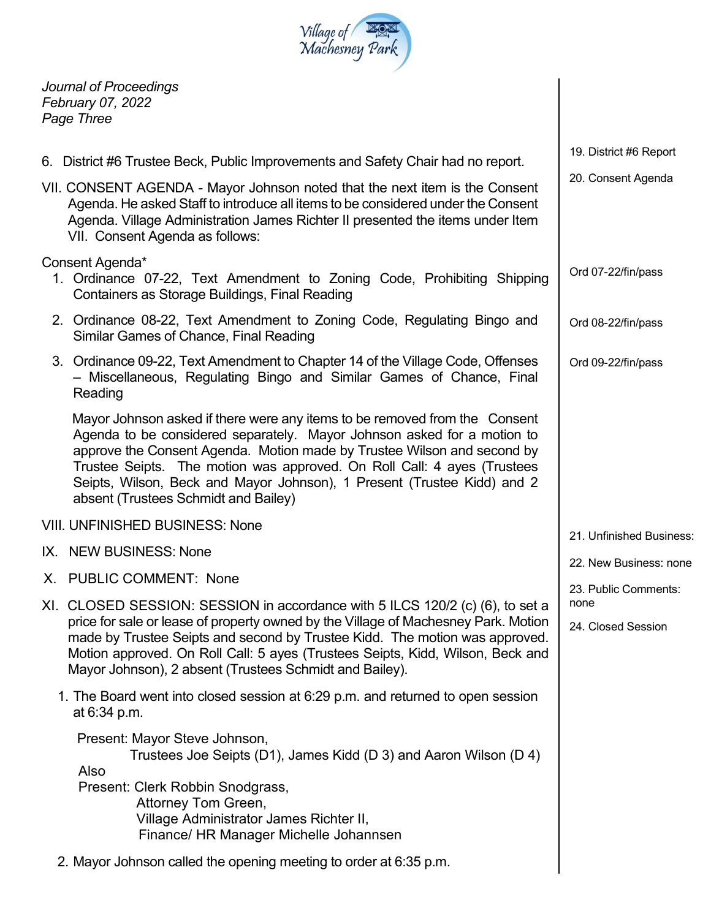

*Journal of Proceedings February 07, 2022 Page Three*

|                                                                                                                                                                                                                                                                                                                                                                                                                                | 19. District #6 Report       |
|--------------------------------------------------------------------------------------------------------------------------------------------------------------------------------------------------------------------------------------------------------------------------------------------------------------------------------------------------------------------------------------------------------------------------------|------------------------------|
| 6. District #6 Trustee Beck, Public Improvements and Safety Chair had no report.                                                                                                                                                                                                                                                                                                                                               |                              |
| VII. CONSENT AGENDA - Mayor Johnson noted that the next item is the Consent<br>Agenda. He asked Staff to introduce all items to be considered under the Consent<br>Agenda. Village Administration James Richter II presented the items under Item<br>VII. Consent Agenda as follows:                                                                                                                                           | 20. Consent Agenda           |
| Consent Agenda*<br>1. Ordinance 07-22, Text Amendment to Zoning Code, Prohibiting Shipping<br>Containers as Storage Buildings, Final Reading                                                                                                                                                                                                                                                                                   | Ord 07-22/fin/pass           |
| 2. Ordinance 08-22, Text Amendment to Zoning Code, Regulating Bingo and<br>Similar Games of Chance, Final Reading                                                                                                                                                                                                                                                                                                              | Ord 08-22/fin/pass           |
| 3. Ordinance 09-22, Text Amendment to Chapter 14 of the Village Code, Offenses<br>- Miscellaneous, Regulating Bingo and Similar Games of Chance, Final<br>Reading                                                                                                                                                                                                                                                              | Ord 09-22/fin/pass           |
| Mayor Johnson asked if there were any items to be removed from the Consent<br>Agenda to be considered separately. Mayor Johnson asked for a motion to<br>approve the Consent Agenda. Motion made by Trustee Wilson and second by<br>Trustee Seipts. The motion was approved. On Roll Call: 4 ayes (Trustees<br>Seipts, Wilson, Beck and Mayor Johnson), 1 Present (Trustee Kidd) and 2<br>absent (Trustees Schmidt and Bailey) |                              |
| <b>VIII. UNFINISHED BUSINESS: None</b>                                                                                                                                                                                                                                                                                                                                                                                         | 21. Unfinished Business:     |
| IX. NEW BUSINESS: None                                                                                                                                                                                                                                                                                                                                                                                                         |                              |
| X. PUBLIC COMMENT: None                                                                                                                                                                                                                                                                                                                                                                                                        | 22. New Business: none       |
| XI. CLOSED SESSION: SESSION in accordance with 5 ILCS 120/2 (c) (6), to set a                                                                                                                                                                                                                                                                                                                                                  | 23. Public Comments:<br>none |
| price for sale or lease of property owned by the Village of Machesney Park. Motion<br>made by Trustee Seipts and second by Trustee Kidd. The motion was approved.<br>Motion approved. On Roll Call: 5 ayes (Trustees Seipts, Kidd, Wilson, Beck and<br>Mayor Johnson), 2 absent (Trustees Schmidt and Bailey).                                                                                                                 | 24. Closed Session           |
| 1. The Board went into closed session at 6:29 p.m. and returned to open session<br>at 6:34 p.m.                                                                                                                                                                                                                                                                                                                                |                              |
| Present: Mayor Steve Johnson,<br>Trustees Joe Seipts (D1), James Kidd (D 3) and Aaron Wilson (D 4)<br>Also<br>Present: Clerk Robbin Snodgrass,<br>Attorney Tom Green,<br>Village Administrator James Richter II,<br>Finance/ HR Manager Michelle Johannsen                                                                                                                                                                     |                              |
| 2. Mayor Johnson called the opening meeting to order at 6:35 p.m.                                                                                                                                                                                                                                                                                                                                                              |                              |

 $\overline{\phantom{a}}$